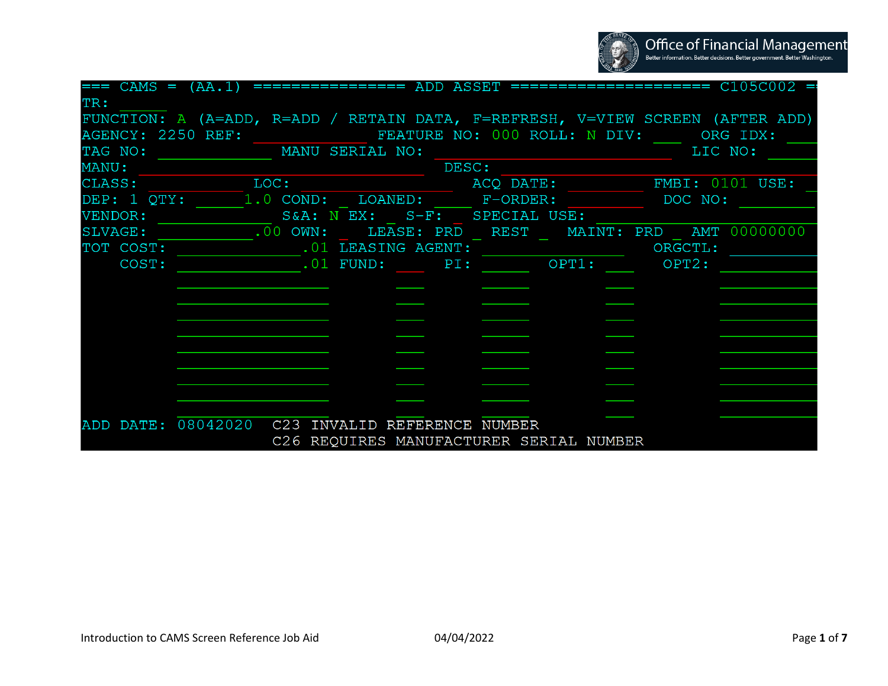|           | === CAMS = (AA.1) ================ ADD ASSET =====================            C105C002 == |                                         |                 |  |
|-----------|-------------------------------------------------------------------------------------------|-----------------------------------------|-----------------|--|
| TR:       |                                                                                           |                                         |                 |  |
|           | FUNCTION: A (A=ADD, R=ADD / RETAIN DATA, F=REFRESH, V=VIEW SCREEN (AFTER ADD)             |                                         |                 |  |
|           | AGENCY: 2250 REF: FEATURE NO: 000 ROLL: N DIV: ORG IDX:                                   |                                         |                 |  |
| TAG NO:   | MANU SERIAL NO:                                                                           |                                         | LIC NO:         |  |
| MANU:     |                                                                                           | DESC:                                   |                 |  |
| CLASS:    | LOC: ACQ DATE:                                                                            |                                         | FMBI: 0101 USE: |  |
|           | DEP: 1 QTY: 1.0 COND: LOANED: F-ORDER:                                                    |                                         | DOC NO:         |  |
| VENDOR:   | S&A: N EX: S-F: SPECIAL USE:                                                              |                                         |                 |  |
| SLVAGE:   |                                                                                           | LEASE: PRD REST MAINT: PRD AMT 00000000 |                 |  |
| TOT COST: |                                                                                           | .01 LEASING AGENT:                      | ORGCTL:         |  |
| COST:     |                                                                                           | $.01$ FUND: $PI:$ OPT1: OPT1: OPT2:     |                 |  |
|           |                                                                                           |                                         |                 |  |
|           |                                                                                           |                                         |                 |  |
|           |                                                                                           |                                         |                 |  |
|           |                                                                                           |                                         |                 |  |
|           |                                                                                           |                                         |                 |  |
|           |                                                                                           |                                         |                 |  |
|           |                                                                                           |                                         |                 |  |
|           |                                                                                           |                                         |                 |  |
|           |                                                                                           |                                         |                 |  |
| DATE:     | 08042020    C23    INVALID REFERENCE NUMBER                                               |                                         |                 |  |
|           |                                                                                           | C26 REQUIRES MANUFACTURER SERIAL NUMBER |                 |  |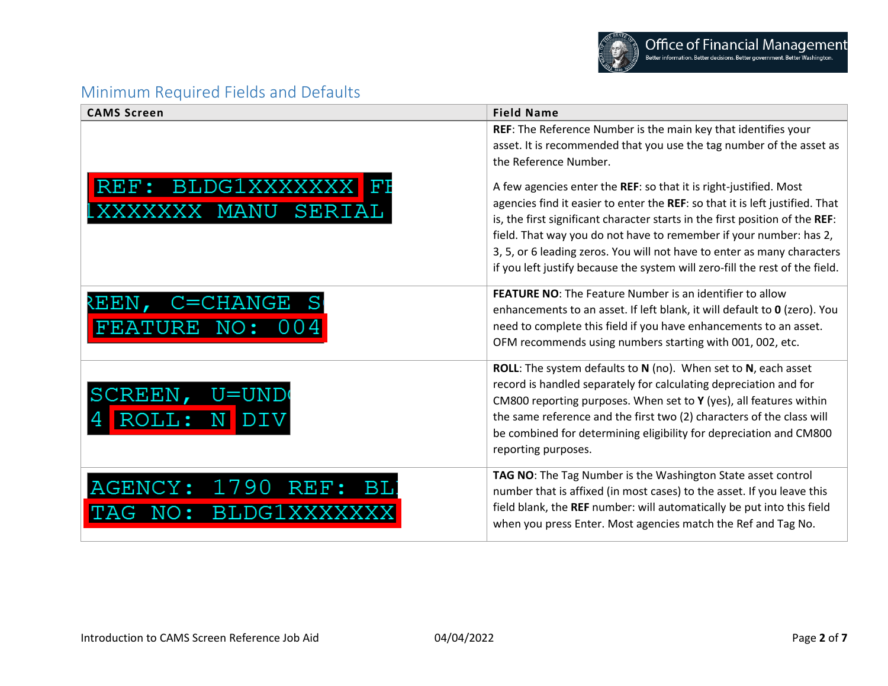## Minimum Required Fields and Defaults

| <b>CAMS Screen</b>    | <b>Field Name</b>                                                                                                                                                                                                                                                                                                                                                                                                                                                  |
|-----------------------|--------------------------------------------------------------------------------------------------------------------------------------------------------------------------------------------------------------------------------------------------------------------------------------------------------------------------------------------------------------------------------------------------------------------------------------------------------------------|
|                       | REF: The Reference Number is the main key that identifies your<br>asset. It is recommended that you use the tag number of the asset as<br>the Reference Number.                                                                                                                                                                                                                                                                                                    |
| BLDG1<br>SERIA<br>MAN | A few agencies enter the REF: so that it is right-justified. Most<br>agencies find it easier to enter the REF: so that it is left justified. That<br>is, the first significant character starts in the first position of the REF:<br>field. That way you do not have to remember if your number: has 2,<br>3, 5, or 6 leading zeros. You will not have to enter as many characters<br>if you left justify because the system will zero-fill the rest of the field. |
| ΑN<br>'EATURE NO:     | <b>FEATURE NO:</b> The Feature Number is an identifier to allow<br>enhancements to an asset. If left blank, it will default to 0 (zero). You<br>need to complete this field if you have enhancements to an asset.<br>OFM recommends using numbers starting with 001, 002, etc.                                                                                                                                                                                     |
| =UND)<br>SCREEN       | ROLL: The system defaults to N (no). When set to N, each asset<br>record is handled separately for calculating depreciation and for<br>CM800 reporting purposes. When set to Y (yes), all features within<br>the same reference and the first two (2) characters of the class will<br>be combined for determining eligibility for depreciation and CM800<br>reporting purposes.                                                                                    |
| 9<br>AGEN<br>Б<br>G   | TAG NO: The Tag Number is the Washington State asset control<br>number that is affixed (in most cases) to the asset. If you leave this<br>field blank, the REF number: will automatically be put into this field<br>when you press Enter. Most agencies match the Ref and Tag No.                                                                                                                                                                                  |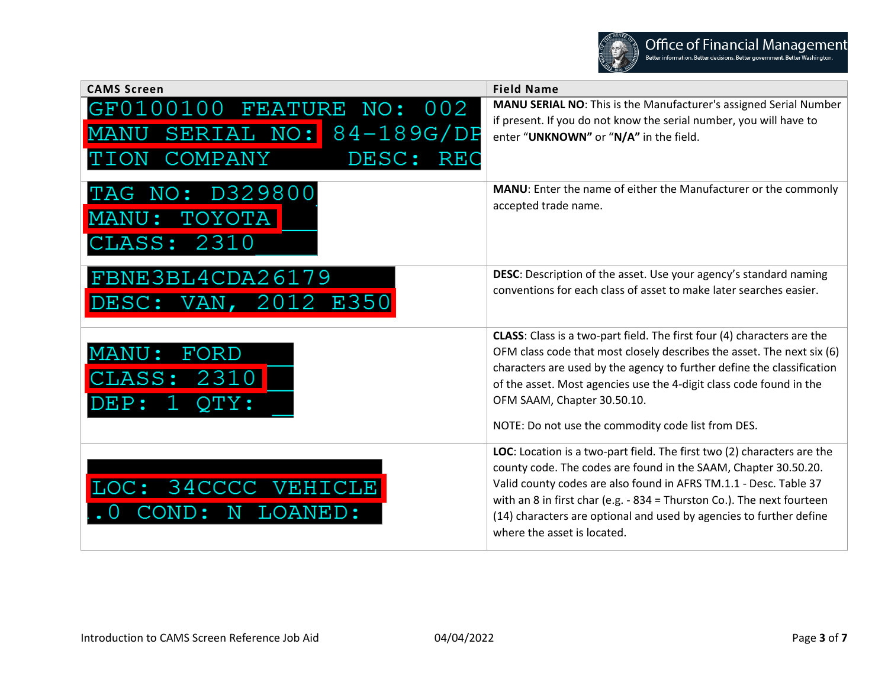| <b>CAMS Screen</b>                                                                                           | <b>Field Name</b>                                                                                                                                                                                                                                                                                                                                                                                 |
|--------------------------------------------------------------------------------------------------------------|---------------------------------------------------------------------------------------------------------------------------------------------------------------------------------------------------------------------------------------------------------------------------------------------------------------------------------------------------------------------------------------------------|
| GF0<br>FEATURE<br>02.<br>$\mathrm{NO}$ :<br>$84 - 189G/DF$<br>NO:<br>SERIAL<br>COMPANY<br>DESC:<br>REC<br>DΝ | MANU SERIAL NO: This is the Manufacturer's assigned Serial Number<br>if present. If you do not know the serial number, you will have to<br>enter "UNKNOWN" or "N/A" in the field.                                                                                                                                                                                                                 |
| D329800<br>NO :<br>.ASS :<br>2310                                                                            | <b>MANU:</b> Enter the name of either the Manufacturer or the commonly<br>accepted trade name.                                                                                                                                                                                                                                                                                                    |
| FBNE3BL4CDA2617<br>DESC:<br>2012<br>VAN<br>E350                                                              | DESC: Description of the asset. Use your agency's standard naming<br>conventions for each class of asset to make later searches easier.                                                                                                                                                                                                                                                           |
| ORD<br>MANU •<br>F<br>ASS:<br>23                                                                             | <b>CLASS:</b> Class is a two-part field. The first four (4) characters are the<br>OFM class code that most closely describes the asset. The next six (6)<br>characters are used by the agency to further define the classification<br>of the asset. Most agencies use the 4-digit class code found in the<br>OFM SAAM, Chapter 30.50.10.<br>NOTE: Do not use the commodity code list from DES.    |
| 34<br>VEH<br>LOANED:<br>Ν                                                                                    | LOC: Location is a two-part field. The first two (2) characters are the<br>county code. The codes are found in the SAAM, Chapter 30.50.20.<br>Valid county codes are also found in AFRS TM.1.1 - Desc. Table 37<br>with an 8 in first char (e.g. $-$ 834 = Thurston Co.). The next fourteen<br>(14) characters are optional and used by agencies to further define<br>where the asset is located. |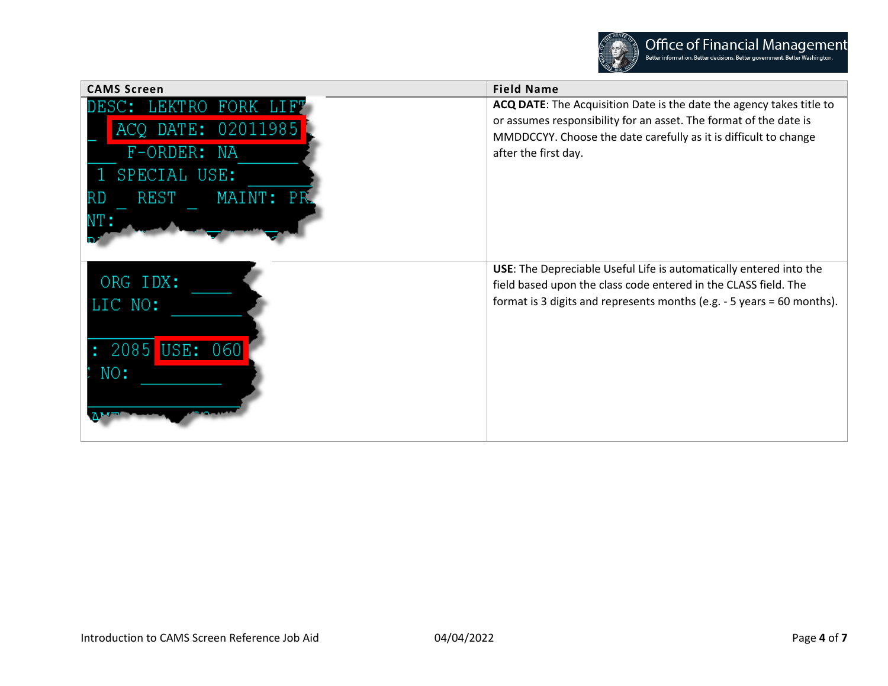| <b>CAMS Screen</b>                                                                                 | <b>Field Name</b>                                                                                                                                                                                                                     |
|----------------------------------------------------------------------------------------------------|---------------------------------------------------------------------------------------------------------------------------------------------------------------------------------------------------------------------------------------|
| DESC: LEKTRO FORK LIFT<br>DATE: 02011985<br>F-ORDER: NA<br>SPECIAL USE:<br>MAINT: PR<br>REST<br>RD | ACQ DATE: The Acquisition Date is the date the agency takes title to<br>or assumes responsibility for an asset. The format of the date is<br>MMDDCCYY. Choose the date carefully as it is difficult to change<br>after the first day. |
| ORG IDX:<br>LIC NO:<br>: 2085<br>USE: 060<br>NO:                                                   | USE: The Depreciable Useful Life is automatically entered into the<br>field based upon the class code entered in the CLASS field. The<br>format is 3 digits and represents months (e.g. - 5 years = 60 months).                       |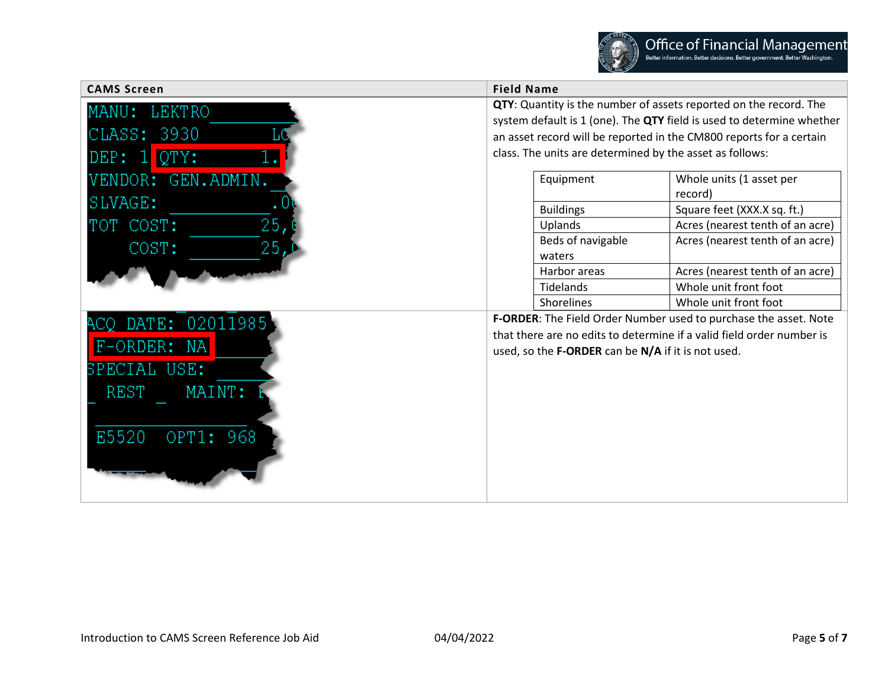| <b>CAMS Screen</b>                                           | <b>Field Name</b>                                                                                                                                                                               |                                                                                                                                              |  |
|--------------------------------------------------------------|-------------------------------------------------------------------------------------------------------------------------------------------------------------------------------------------------|----------------------------------------------------------------------------------------------------------------------------------------------|--|
| MANU: LEKTRO<br>CLASS: 3930<br>$QTY$ :<br>DEF: 1             | QTY: Quantity is the number of assets reported on the record. The<br>class. The units are determined by the asset as follows:                                                                   | system default is 1 (one). The QTY field is used to determine whether<br>an asset record will be reported in the CM800 reports for a certain |  |
| VENDOR:<br>GEN.ADMIN.<br>SLVAGE:                             | Equipment<br><b>Buildings</b>                                                                                                                                                                   | Whole units (1 asset per<br>record)<br>Square feet (XXX.X sq. ft.)                                                                           |  |
| 25,<br>TOT COST:<br>25,<br>COST:                             | Uplands<br>Beds of navigable<br>waters                                                                                                                                                          | Acres (nearest tenth of an acre)<br>Acres (nearest tenth of an acre)                                                                         |  |
|                                                              | Harbor areas<br>Tidelands<br><b>Shorelines</b>                                                                                                                                                  | Acres (nearest tenth of an acre)<br>Whole unit front foot<br>Whole unit front foot                                                           |  |
| DATE: 02011985<br>F-ORDER: NA<br>CIAL USE:<br>REST<br>MAINT: | F-ORDER: The Field Order Number used to purchase the asset. Note<br>that there are no edits to determine if a valid field order number is<br>used, so the F-ORDER can be N/A if it is not used. |                                                                                                                                              |  |
| OPT1: 968<br>E5520                                           |                                                                                                                                                                                                 |                                                                                                                                              |  |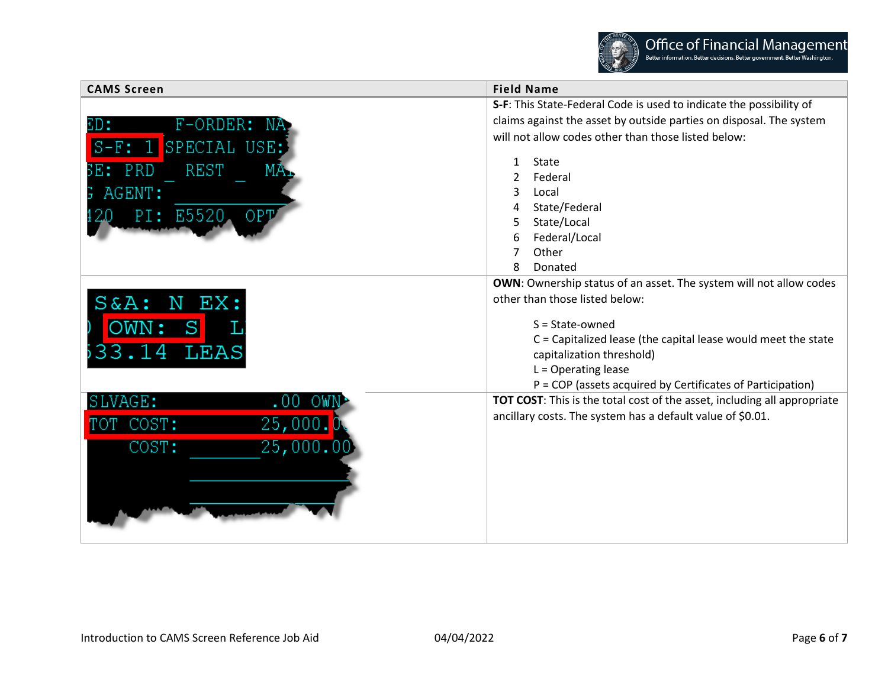| <b>CAMS Screen</b>            | <b>Field Name</b>                                                         |
|-------------------------------|---------------------------------------------------------------------------|
|                               | S-F: This State-Federal Code is used to indicate the possibility of       |
| BD:<br>$F-ORDER:$<br>-NA      | claims against the asset by outside parties on disposal. The system       |
|                               | will not allow codes other than those listed below:                       |
| SPECIAL USE:<br>$S-F: 1$      | State<br>1                                                                |
| REST<br>BE: PRD<br>MA.        | Federal<br>$\mathfrak{p}$                                                 |
| AGENT:                        | 3<br>Local                                                                |
|                               | State/Federal                                                             |
| PI: E5520 OPT                 | State/Local<br>5                                                          |
|                               | Federal/Local<br>6                                                        |
|                               | Other<br>7                                                                |
|                               | 8<br>Donated                                                              |
|                               | <b>OWN:</b> Ownership status of an asset. The system will not allow codes |
| $S\&A$ :<br>${\rm EX}$ :<br>N | other than those listed below:                                            |
|                               | $S = State-owned$                                                         |
|                               | $C =$ Capitalized lease (the capital lease would meet the state           |
| LEAS<br>$\overline{4}$        | capitalization threshold)                                                 |
|                               | $L =$ Operating lease                                                     |
|                               | P = COP (assets acquired by Certificates of Participation)                |
| .VAGE:<br>-OWN<br>.00         | TOT COST: This is the total cost of the asset, including all appropriate  |
| 25,000.<br>COST:              | ancillary costs. The system has a default value of \$0.01.                |
|                               |                                                                           |
| COST:<br>25,000.00            |                                                                           |
|                               |                                                                           |
|                               |                                                                           |
|                               |                                                                           |
|                               |                                                                           |
|                               |                                                                           |